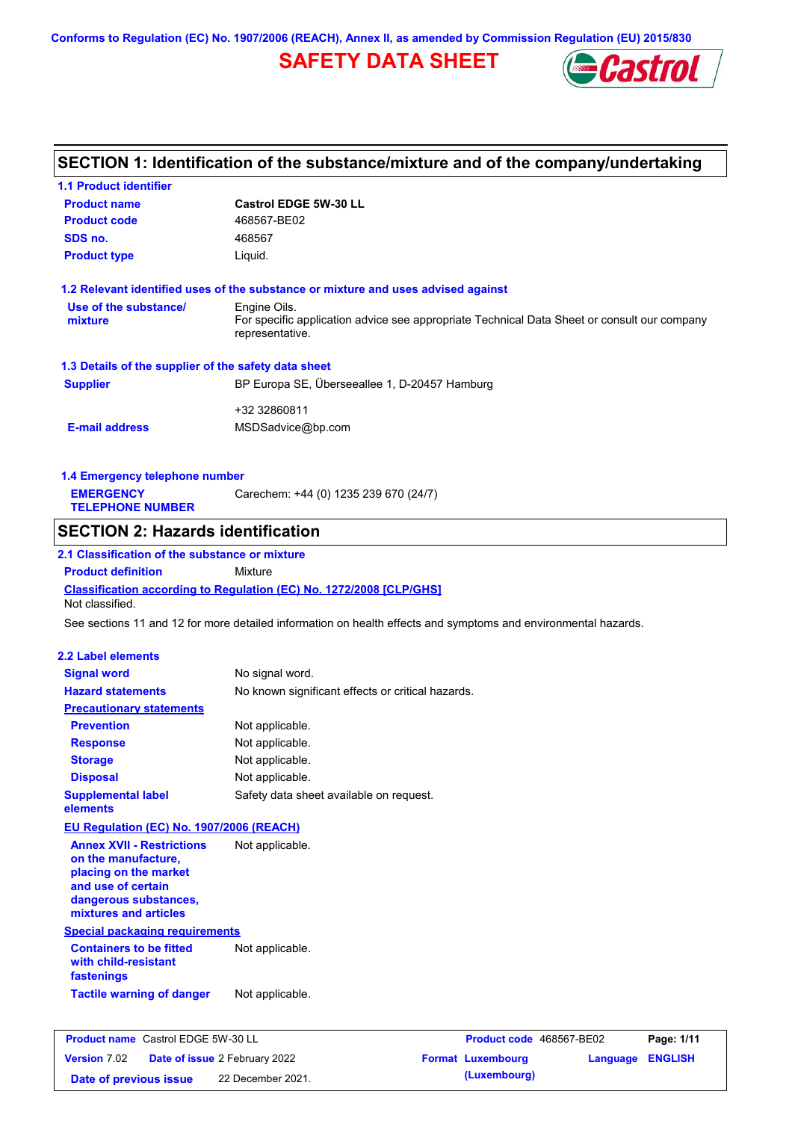**Conforms to Regulation (EC) No. 1907/2006 (REACH), Annex II, as amended by Commission Regulation (EU) 2015/830**

# **SAFETY DATA SHEET**



# **SECTION 1: Identification of the substance/mixture and of the company/undertaking**

| <b>1.1 Product identifier</b>                                                                                                                            |                                                                                                                |                                                                                             |                                   |
|----------------------------------------------------------------------------------------------------------------------------------------------------------|----------------------------------------------------------------------------------------------------------------|---------------------------------------------------------------------------------------------|-----------------------------------|
| <b>Product name</b>                                                                                                                                      | <b>Castrol EDGE 5W-30 LL</b>                                                                                   |                                                                                             |                                   |
| <b>Product code</b>                                                                                                                                      | 468567-BE02                                                                                                    |                                                                                             |                                   |
| SDS no.                                                                                                                                                  | 468567                                                                                                         |                                                                                             |                                   |
| <b>Product type</b>                                                                                                                                      | Liquid.                                                                                                        |                                                                                             |                                   |
|                                                                                                                                                          | 1.2 Relevant identified uses of the substance or mixture and uses advised against                              |                                                                                             |                                   |
| Use of the substance/<br>mixture                                                                                                                         | Engine Oils.<br>representative.                                                                                | For specific application advice see appropriate Technical Data Sheet or consult our company |                                   |
| 1.3 Details of the supplier of the safety data sheet                                                                                                     |                                                                                                                |                                                                                             |                                   |
| <b>Supplier</b>                                                                                                                                          | BP Europa SE, Überseeallee 1, D-20457 Hamburg                                                                  |                                                                                             |                                   |
|                                                                                                                                                          |                                                                                                                |                                                                                             |                                   |
| <b>E-mail address</b>                                                                                                                                    | +32 32860811<br>MSDSadvice@bp.com                                                                              |                                                                                             |                                   |
| 1.4 Emergency telephone number                                                                                                                           |                                                                                                                |                                                                                             |                                   |
| <b>EMERGENCY</b><br><b>TELEPHONE NUMBER</b>                                                                                                              | Carechem: +44 (0) 1235 239 670 (24/7)                                                                          |                                                                                             |                                   |
| <b>SECTION 2: Hazards identification</b>                                                                                                                 |                                                                                                                |                                                                                             |                                   |
| 2.1 Classification of the substance or mixture                                                                                                           |                                                                                                                |                                                                                             |                                   |
| <b>Product definition</b>                                                                                                                                | Mixture                                                                                                        |                                                                                             |                                   |
| Not classified.                                                                                                                                          | <b>Classification according to Regulation (EC) No. 1272/2008 [CLP/GHS]</b>                                     |                                                                                             |                                   |
|                                                                                                                                                          | See sections 11 and 12 for more detailed information on health effects and symptoms and environmental hazards. |                                                                                             |                                   |
| <b>2.2 Label elements</b>                                                                                                                                |                                                                                                                |                                                                                             |                                   |
| <b>Signal word</b>                                                                                                                                       | No signal word.                                                                                                |                                                                                             |                                   |
| <b>Hazard statements</b>                                                                                                                                 | No known significant effects or critical hazards.                                                              |                                                                                             |                                   |
| <b>Precautionary statements</b>                                                                                                                          |                                                                                                                |                                                                                             |                                   |
| <b>Prevention</b>                                                                                                                                        | Not applicable.                                                                                                |                                                                                             |                                   |
| <b>Response</b>                                                                                                                                          | Not applicable.                                                                                                |                                                                                             |                                   |
| <b>Storage</b>                                                                                                                                           | Not applicable.                                                                                                |                                                                                             |                                   |
| <b>Disposal</b>                                                                                                                                          | Not applicable.                                                                                                |                                                                                             |                                   |
| <b>Supplemental label</b><br>elements                                                                                                                    | Safety data sheet available on request.                                                                        |                                                                                             |                                   |
| EU Regulation (EC) No. 1907/2006 (REACH)                                                                                                                 |                                                                                                                |                                                                                             |                                   |
| <b>Annex XVII - Restrictions</b><br>on the manufacture,<br>placing on the market<br>and use of certain<br>dangerous substances,<br>mixtures and articles | Not applicable.                                                                                                |                                                                                             |                                   |
| <b>Special packaging requirements</b>                                                                                                                    |                                                                                                                |                                                                                             |                                   |
| <b>Containers to be fitted</b><br>with child-resistant<br>fastenings                                                                                     | Not applicable.                                                                                                |                                                                                             |                                   |
| <b>Tactile warning of danger</b>                                                                                                                         | Not applicable.                                                                                                |                                                                                             |                                   |
|                                                                                                                                                          |                                                                                                                |                                                                                             |                                   |
| <b>Product name</b> Castrol EDGE 5W-30 LL                                                                                                                |                                                                                                                | Product code 468567-BE02                                                                    | Page: 1/11                        |
| <b>Version 7.02</b>                                                                                                                                      | Date of issue 2 February 2022                                                                                  | <b>Format Luxembourg</b>                                                                    | <b>ENGLISH</b><br><b>Language</b> |

**Date of previous issue (Luxembourg)** 22 December 2021.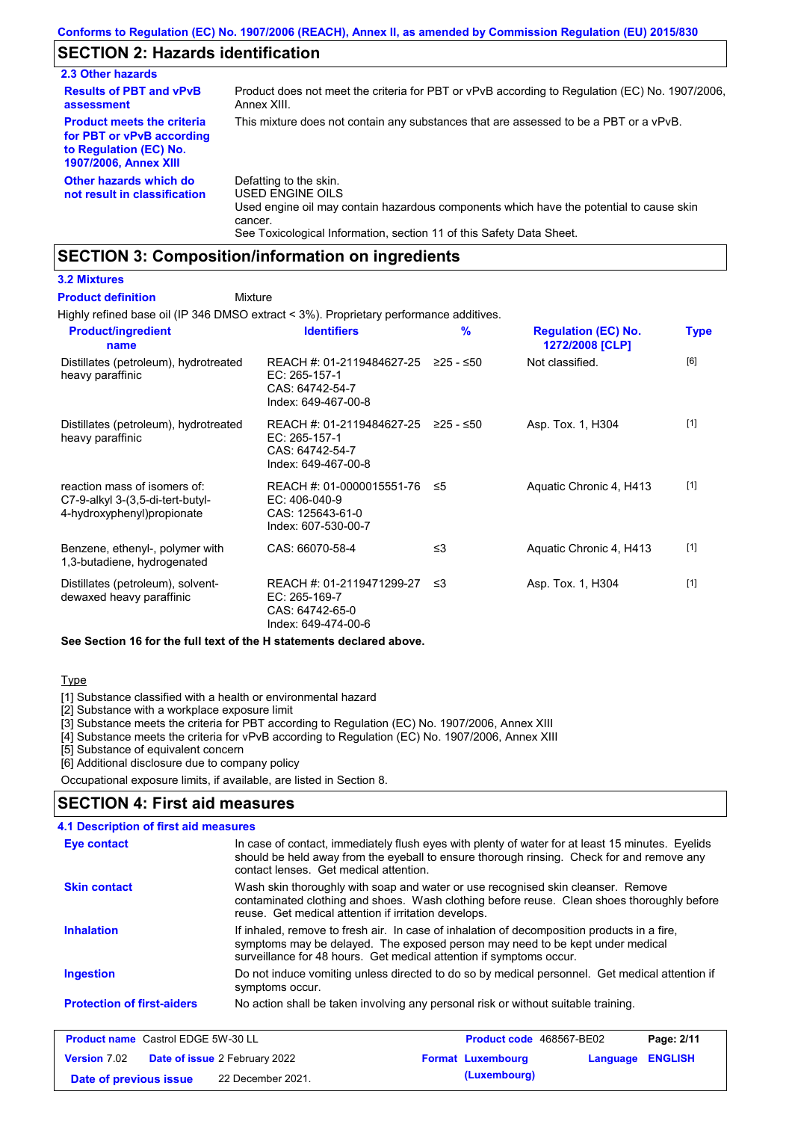## **SECTION 2: Hazards identification**

| 2.3 Other hazards                                                                                                        |                                                                                                                                                                                                                          |
|--------------------------------------------------------------------------------------------------------------------------|--------------------------------------------------------------------------------------------------------------------------------------------------------------------------------------------------------------------------|
| <b>Results of PBT and vPvB</b><br>assessment                                                                             | Product does not meet the criteria for PBT or vPvB according to Regulation (EC) No. 1907/2006.<br>Annex XIII.                                                                                                            |
| <b>Product meets the criteria</b><br>for PBT or vPvB according<br>to Regulation (EC) No.<br><b>1907/2006, Annex XIII</b> | This mixture does not contain any substances that are assessed to be a PBT or a vPvB.                                                                                                                                    |
| Other hazards which do<br>not result in classification                                                                   | Defatting to the skin.<br>USED ENGINE OILS<br>Used engine oil may contain hazardous components which have the potential to cause skin<br>cancer.<br>See Toxicological Information, section 11 of this Safety Data Sheet. |

# **SECTION 3: Composition/information on ingredients**

### **3.2 Mixtures**

#### Mixture **Product definition**

Highly refined base oil (IP 346 DMSO extract < 3%). Proprietary performance additives.

| <b>Product/ingredient</b><br>name                                                               | <b>Identifiers</b>                                                                               | $\frac{9}{6}$ | <b>Regulation (EC) No.</b><br>1272/2008 [CLP] | <b>Type</b> |
|-------------------------------------------------------------------------------------------------|--------------------------------------------------------------------------------------------------|---------------|-----------------------------------------------|-------------|
| Distillates (petroleum), hydrotreated<br>heavy paraffinic                                       | REACH #: 01-2119484627-25<br>EC: 265-157-1<br>CAS: 64742-54-7<br>Index: 649-467-00-8             | $≥25 - ≤50$   | Not classified.                               | [6]         |
| Distillates (petroleum), hydrotreated<br>heavy paraffinic                                       | REACH #: 01-2119484627-25<br>EC: 265-157-1<br>CAS: 64742-54-7<br>Index: 649-467-00-8             | ≥25 - ≤50     | Asp. Tox. 1, H304                             | $[1]$       |
| reaction mass of isomers of:<br>C7-9-alkyl 3-(3,5-di-tert-butyl-<br>4-hydroxyphenyl) propionate | REACH #: 01-0000015551-76 $\leq$ 5<br>$EC: 406-040-9$<br>CAS: 125643-61-0<br>Index: 607-530-00-7 |               | Aquatic Chronic 4, H413                       | $[1]$       |
| Benzene, ethenyl-, polymer with<br>1,3-butadiene, hydrogenated                                  | CAS: 66070-58-4                                                                                  | ≤3            | Aquatic Chronic 4, H413                       | $[1]$       |
| Distillates (petroleum), solvent-<br>dewaxed heavy paraffinic                                   | REACH #: 01-2119471299-27<br>EC: 265-169-7<br>CAS: 64742-65-0<br>Index: 649-474-00-6             | ו≥ ≤          | Asp. Tox. 1, H304                             | $[1]$       |

### **See Section 16 for the full text of the H statements declared above.**

### Type

[1] Substance classified with a health or environmental hazard

[2] Substance with a workplace exposure limit

[3] Substance meets the criteria for PBT according to Regulation (EC) No. 1907/2006, Annex XIII

[4] Substance meets the criteria for vPvB according to Regulation (EC) No. 1907/2006, Annex XIII

[5] Substance of equivalent concern

[6] Additional disclosure due to company policy

Occupational exposure limits, if available, are listed in Section 8.

### **SECTION 4: First aid measures**

#### Do not induce vomiting unless directed to do so by medical personnel. Get medical attention if symptoms occur. In case of contact, immediately flush eyes with plenty of water for at least 15 minutes. Eyelids should be held away from the eyeball to ensure thorough rinsing. Check for and remove any contact lenses. Get medical attention. **4.1 Description of first aid measures** If inhaled, remove to fresh air. In case of inhalation of decomposition products in a fire, symptoms may be delayed. The exposed person may need to be kept under medical surveillance for 48 hours. Get medical attention if symptoms occur. **Ingestion Inhalation Eye contact Protection of first-aiders** No action shall be taken involving any personal risk or without suitable training. **Skin contact** Wash skin thoroughly with soap and water or use recognised skin cleanser. Remove contaminated clothing and shoes. Wash clothing before reuse. Clean shoes thoroughly before reuse. Get medical attention if irritation develops.

| <b>Product name</b> Castrol EDGE 5W-30 LL |                                      | <b>Product code</b> 468567-BE02 |                         | Page: 2/11 |
|-------------------------------------------|--------------------------------------|---------------------------------|-------------------------|------------|
| <b>Version 7.02</b>                       | <b>Date of issue 2 February 2022</b> | <b>Format Luxembourg</b>        | <b>Language ENGLISH</b> |            |
| Date of previous issue                    | 22 December 2021.                    | (Luxembourg)                    |                         |            |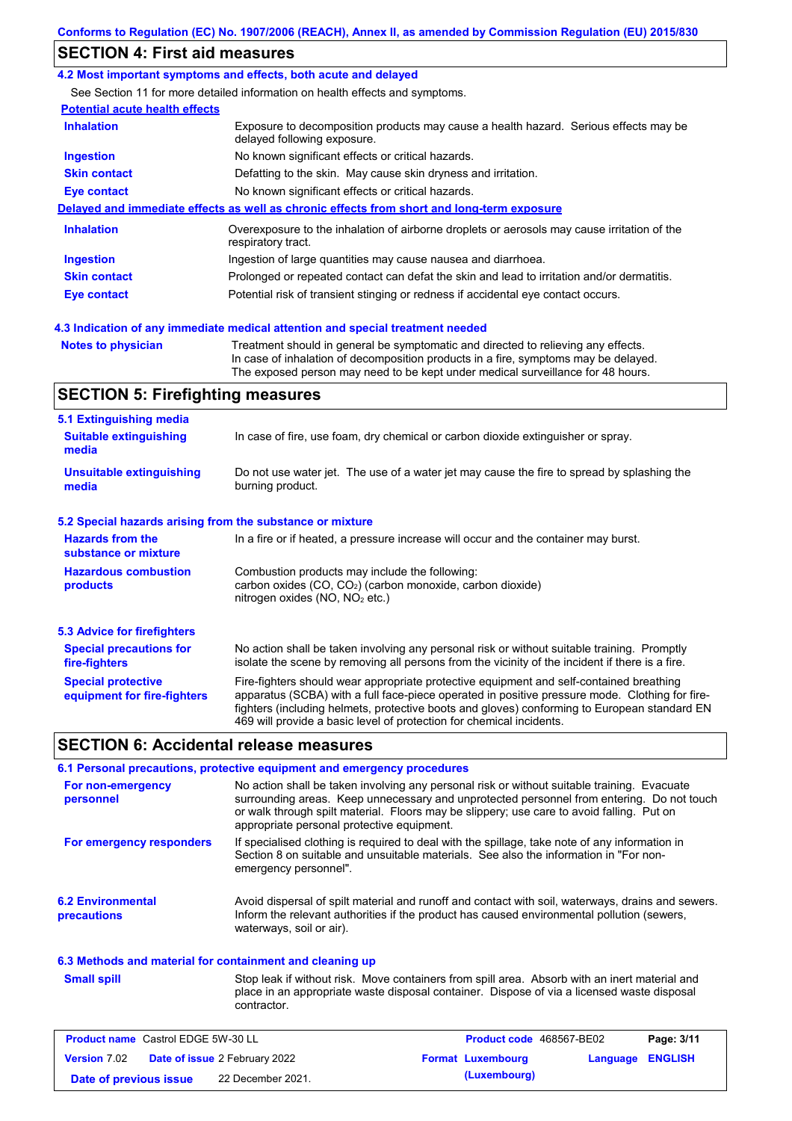# **SECTION 4: First aid measures**

#### **4.2 Most important symptoms and effects, both acute and delayed**

See Section 11 for more detailed information on health effects and symptoms.

| <b>Inhalation</b>   | <b>Potential acute health effects</b><br>Exposure to decomposition products may cause a health hazard. Serious effects may be<br>delayed following exposure. |
|---------------------|--------------------------------------------------------------------------------------------------------------------------------------------------------------|
| <b>Ingestion</b>    | No known significant effects or critical hazards.                                                                                                            |
| <b>Skin contact</b> | Defatting to the skin. May cause skin dryness and irritation.                                                                                                |
| Eye contact         | No known significant effects or critical hazards.                                                                                                            |
|                     | Delayed and immediate effects as well as chronic effects from short and long-term exposure                                                                   |
| <b>Inhalation</b>   | Overexposure to the inhalation of airborne droplets or aerosols may cause irritation of the<br>respiratory tract.                                            |
|                     | Ingestion of large quantities may cause nausea and diarrhoea.                                                                                                |
| <b>Ingestion</b>    |                                                                                                                                                              |
| <b>Skin contact</b> | Prolonged or repeated contact can defat the skin and lead to irritation and/or dermatitis.                                                                   |

**Notes to physician** Treatment should in general be symptomatic and directed to relieving any effects. In case of inhalation of decomposition products in a fire, symptoms may be delayed. The exposed person may need to be kept under medical surveillance for 48 hours.

### **SECTION 5: Firefighting measures**

| 5.1 Extinguishing media                                   |                                                                                                                                                                                                                                                                                                                                                                   |  |
|-----------------------------------------------------------|-------------------------------------------------------------------------------------------------------------------------------------------------------------------------------------------------------------------------------------------------------------------------------------------------------------------------------------------------------------------|--|
| <b>Suitable extinguishing</b><br>media                    | In case of fire, use foam, dry chemical or carbon dioxide extinguisher or spray.                                                                                                                                                                                                                                                                                  |  |
| <b>Unsuitable extinguishing</b><br>media                  | Do not use water jet. The use of a water jet may cause the fire to spread by splashing the<br>burning product.                                                                                                                                                                                                                                                    |  |
| 5.2 Special hazards arising from the substance or mixture |                                                                                                                                                                                                                                                                                                                                                                   |  |
| <b>Hazards from the</b><br>substance or mixture           | In a fire or if heated, a pressure increase will occur and the container may burst.                                                                                                                                                                                                                                                                               |  |
| <b>Hazardous combustion</b><br>products                   | Combustion products may include the following:<br>carbon oxides $(CO, CO2)$ (carbon monoxide, carbon dioxide)<br>nitrogen oxides (NO, NO <sub>2</sub> etc.)                                                                                                                                                                                                       |  |
| 5.3 Advice for firefighters                               |                                                                                                                                                                                                                                                                                                                                                                   |  |
| <b>Special precautions for</b><br>fire-fighters           | No action shall be taken involving any personal risk or without suitable training. Promptly<br>isolate the scene by removing all persons from the vicinity of the incident if there is a fire.                                                                                                                                                                    |  |
| <b>Special protective</b><br>equipment for fire-fighters  | Fire-fighters should wear appropriate protective equipment and self-contained breathing<br>apparatus (SCBA) with a full face-piece operated in positive pressure mode. Clothing for fire-<br>fighters (including helmets, protective boots and gloves) conforming to European standard EN<br>469 will provide a basic level of protection for chemical incidents. |  |

### **SECTION 6: Accidental release measures**

|                                                                 | 6.1 Personal precautions, protective equipment and emergency procedures                                                                                                                                                                                                                                                             |
|-----------------------------------------------------------------|-------------------------------------------------------------------------------------------------------------------------------------------------------------------------------------------------------------------------------------------------------------------------------------------------------------------------------------|
| For non-emergency<br>personnel                                  | No action shall be taken involving any personal risk or without suitable training. Evacuate<br>surrounding areas. Keep unnecessary and unprotected personnel from entering. Do not touch<br>or walk through spilt material. Floors may be slippery; use care to avoid falling. Put on<br>appropriate personal protective equipment. |
| For emergency responders                                        | If specialised clothing is required to deal with the spillage, take note of any information in<br>Section 8 on suitable and unsuitable materials. See also the information in "For non-<br>emergency personnel".                                                                                                                    |
| <b>6.2 Environmental</b><br>precautions                         | Avoid dispersal of spilt material and runoff and contact with soil, waterways, drains and sewers.<br>Inform the relevant authorities if the product has caused environmental pollution (sewers,<br>waterways, soil or air).                                                                                                         |
| . A A Madhaala amal madambal fan aandelmingend amal alaanbam (m |                                                                                                                                                                                                                                                                                                                                     |

### **6.3 Methods and material for containment and cleaning up**

| <b>Small spill</b> |  |
|--------------------|--|
|                    |  |

Stop leak if without risk. Move containers from spill area. Absorb with an inert material and place in an appropriate waste disposal container. Dispose of via a licensed waste disposal contractor.

| <b>Product name</b> Castrol EDGE 5W-30 LL |                                      | <b>Product code</b> 468567-BE02 |                  | Page: 3/11 |
|-------------------------------------------|--------------------------------------|---------------------------------|------------------|------------|
| <b>Version 7.02</b>                       | <b>Date of issue 2 February 2022</b> | <b>Format Luxembourg</b>        | Language ENGLISH |            |
| Date of previous issue                    | 22 December 2021.                    | (Luxembourg)                    |                  |            |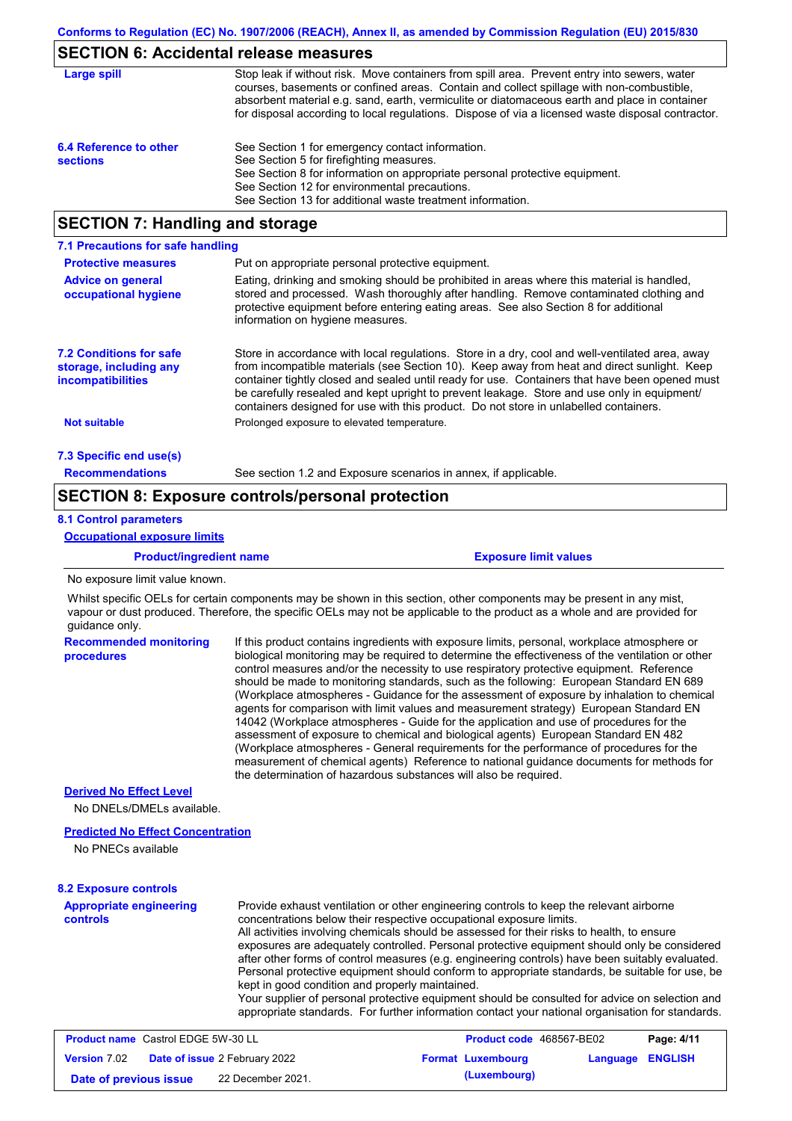# **SECTION 6: Accidental release measures**

| Large spill                               | Stop leak if without risk. Move containers from spill area. Prevent entry into sewers, water<br>courses, basements or confined areas. Contain and collect spillage with non-combustible,<br>absorbent material e.g. sand, earth, vermiculite or diatomaceous earth and place in container<br>for disposal according to local regulations. Dispose of via a licensed waste disposal contractor. |
|-------------------------------------------|------------------------------------------------------------------------------------------------------------------------------------------------------------------------------------------------------------------------------------------------------------------------------------------------------------------------------------------------------------------------------------------------|
| 6.4 Reference to other<br><b>sections</b> | See Section 1 for emergency contact information.<br>See Section 5 for firefighting measures.<br>See Section 8 for information on appropriate personal protective equipment.<br>See Section 12 for environmental precautions.<br>See Section 13 for additional waste treatment information.                                                                                                     |

## **SECTION 7: Handling and storage**

| 7.1 Precautions for safe handling                                             |                                                                                                                                                                                                                                                                                                                                                                                                                                                                                          |
|-------------------------------------------------------------------------------|------------------------------------------------------------------------------------------------------------------------------------------------------------------------------------------------------------------------------------------------------------------------------------------------------------------------------------------------------------------------------------------------------------------------------------------------------------------------------------------|
| <b>Protective measures</b>                                                    | Put on appropriate personal protective equipment.                                                                                                                                                                                                                                                                                                                                                                                                                                        |
| <b>Advice on general</b><br>occupational hygiene                              | Eating, drinking and smoking should be prohibited in areas where this material is handled,<br>stored and processed. Wash thoroughly after handling. Remove contaminated clothing and<br>protective equipment before entering eating areas. See also Section 8 for additional<br>information on hygiene measures.                                                                                                                                                                         |
| <b>7.2 Conditions for safe</b><br>storage, including any<br>incompatibilities | Store in accordance with local regulations. Store in a dry, cool and well-ventilated area, away<br>from incompatible materials (see Section 10). Keep away from heat and direct sunlight. Keep<br>container tightly closed and sealed until ready for use. Containers that have been opened must<br>be carefully resealed and kept upright to prevent leakage. Store and use only in equipment/<br>containers designed for use with this product. Do not store in unlabelled containers. |
| <b>Not suitable</b>                                                           | Prolonged exposure to elevated temperature.                                                                                                                                                                                                                                                                                                                                                                                                                                              |
| 7.3 Specific end use(s)                                                       |                                                                                                                                                                                                                                                                                                                                                                                                                                                                                          |
| <b>Recommendations</b>                                                        | See section 1.2 and Exposure scenarios in annex, if applicable.                                                                                                                                                                                                                                                                                                                                                                                                                          |

### **SECTION 8: Exposure controls/personal protection**

### **8.1 Control parameters**

**Occupational exposure limits**

**Product/ingredient name Exposure limit values**

No exposure limit value known.

Whilst specific OELs for certain components may be shown in this section, other components may be present in any mist, vapour or dust produced. Therefore, the specific OELs may not be applicable to the product as a whole and are provided for guidance only.

| <b>Recommended monitoring</b><br>procedures                    | If this product contains ingredients with exposure limits, personal, workplace atmosphere or<br>biological monitoring may be required to determine the effectiveness of the ventilation or other<br>control measures and/or the necessity to use respiratory protective equipment. Reference<br>should be made to monitoring standards, such as the following: European Standard EN 689<br>(Workplace atmospheres - Guidance for the assessment of exposure by inhalation to chemical<br>agents for comparison with limit values and measurement strategy) European Standard EN<br>14042 (Workplace atmospheres - Guide for the application and use of procedures for the<br>assessment of exposure to chemical and biological agents) European Standard EN 482<br>(Workplace atmospheres - General requirements for the performance of procedures for the<br>measurement of chemical agents) Reference to national quidance documents for methods for<br>the determination of hazardous substances will also be required. |
|----------------------------------------------------------------|----------------------------------------------------------------------------------------------------------------------------------------------------------------------------------------------------------------------------------------------------------------------------------------------------------------------------------------------------------------------------------------------------------------------------------------------------------------------------------------------------------------------------------------------------------------------------------------------------------------------------------------------------------------------------------------------------------------------------------------------------------------------------------------------------------------------------------------------------------------------------------------------------------------------------------------------------------------------------------------------------------------------------|
| <b>Derived No Effect Level</b>                                 |                                                                                                                                                                                                                                                                                                                                                                                                                                                                                                                                                                                                                                                                                                                                                                                                                                                                                                                                                                                                                            |
| No DNELs/DMELs available.                                      |                                                                                                                                                                                                                                                                                                                                                                                                                                                                                                                                                                                                                                                                                                                                                                                                                                                                                                                                                                                                                            |
| <b>Predicted No Effect Concentration</b><br>No PNECs available |                                                                                                                                                                                                                                                                                                                                                                                                                                                                                                                                                                                                                                                                                                                                                                                                                                                                                                                                                                                                                            |

### **8.2 Exposure controls**

**Appropriate engineering controls** Provide exhaust ventilation or other engineering controls to keep the relevant airborne concentrations below their respective occupational exposure limits. All activities involving chemicals should be assessed for their risks to health, to ensure exposures are adequately controlled. Personal protective equipment should only be considered after other forms of control measures (e.g. engineering controls) have been suitably evaluated. Personal protective equipment should conform to appropriate standards, be suitable for use, be kept in good condition and properly maintained. Your supplier of personal protective equipment should be consulted for advice on selection and appropriate standards. For further information contact your national organisation for standards.

| <b>Product name</b> Castrol EDGE 5W-30 LL |                                                   | <b>Product code</b> 468567-BE02 |                  | Page: 4/11 |
|-------------------------------------------|---------------------------------------------------|---------------------------------|------------------|------------|
|                                           | <b>Version 7.02 Date of issue 2 February 2022</b> | <b>Format Luxembourg</b>        | Language ENGLISH |            |
| Date of previous issue                    | 22 December 2021.                                 | (Luxembourg)                    |                  |            |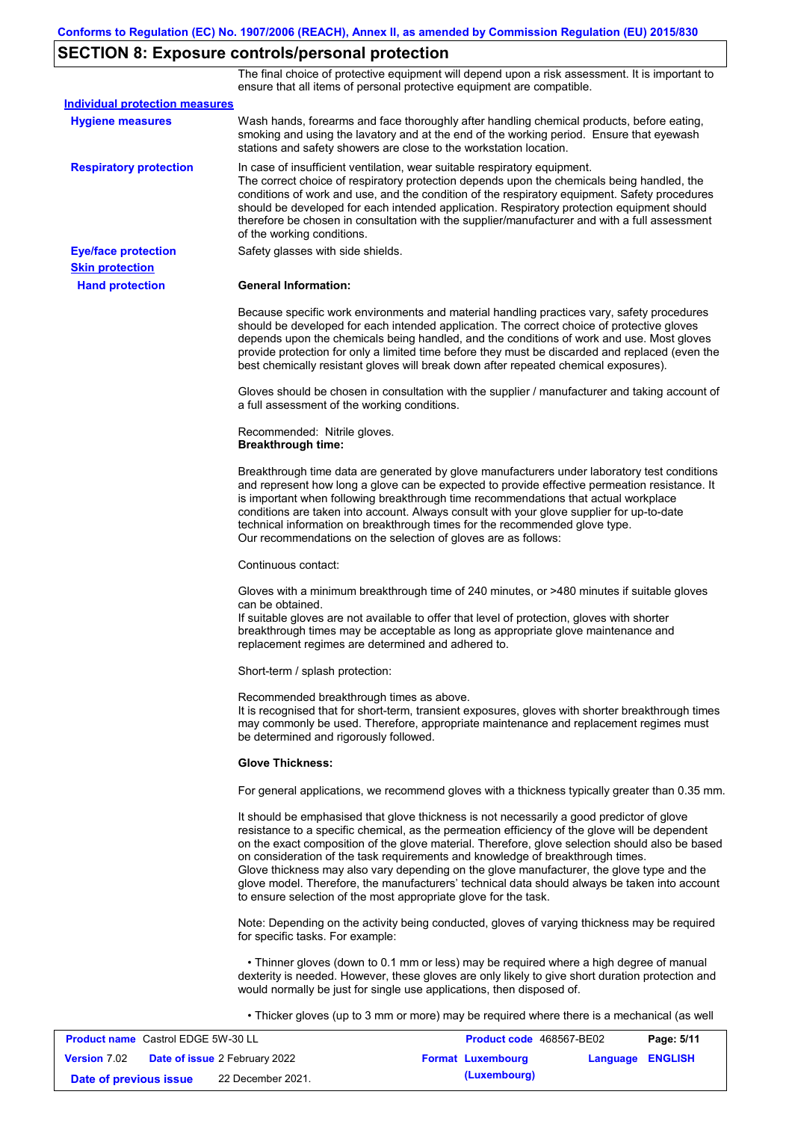# **SECTION 8: Exposure controls/personal protection**

The final choice of protective equipment will depend upon a risk assessment. It is important to ensure that all items of personal protective equipment are compatible.

| <b>Individual protection measures</b> |                                                                                                                                                                                                                                                                                                                                                                                                                                                                                                                                                                                                                                                   |
|---------------------------------------|---------------------------------------------------------------------------------------------------------------------------------------------------------------------------------------------------------------------------------------------------------------------------------------------------------------------------------------------------------------------------------------------------------------------------------------------------------------------------------------------------------------------------------------------------------------------------------------------------------------------------------------------------|
| <b>Hygiene measures</b>               | Wash hands, forearms and face thoroughly after handling chemical products, before eating,<br>smoking and using the lavatory and at the end of the working period. Ensure that eyewash<br>stations and safety showers are close to the workstation location.                                                                                                                                                                                                                                                                                                                                                                                       |
| <b>Respiratory protection</b>         | In case of insufficient ventilation, wear suitable respiratory equipment.<br>The correct choice of respiratory protection depends upon the chemicals being handled, the<br>conditions of work and use, and the condition of the respiratory equipment. Safety procedures<br>should be developed for each intended application. Respiratory protection equipment should<br>therefore be chosen in consultation with the supplier/manufacturer and with a full assessment<br>of the working conditions.                                                                                                                                             |
| <b>Eye/face protection</b>            | Safety glasses with side shields.                                                                                                                                                                                                                                                                                                                                                                                                                                                                                                                                                                                                                 |
| <b>Skin protection</b>                |                                                                                                                                                                                                                                                                                                                                                                                                                                                                                                                                                                                                                                                   |
| <b>Hand protection</b>                | <b>General Information:</b>                                                                                                                                                                                                                                                                                                                                                                                                                                                                                                                                                                                                                       |
|                                       | Because specific work environments and material handling practices vary, safety procedures<br>should be developed for each intended application. The correct choice of protective gloves<br>depends upon the chemicals being handled, and the conditions of work and use. Most gloves<br>provide protection for only a limited time before they must be discarded and replaced (even the<br>best chemically resistant gloves will break down after repeated chemical exposures).                                                                                                                                                                  |
|                                       | Gloves should be chosen in consultation with the supplier / manufacturer and taking account of<br>a full assessment of the working conditions.                                                                                                                                                                                                                                                                                                                                                                                                                                                                                                    |
|                                       | Recommended: Nitrile gloves.<br><b>Breakthrough time:</b>                                                                                                                                                                                                                                                                                                                                                                                                                                                                                                                                                                                         |
|                                       | Breakthrough time data are generated by glove manufacturers under laboratory test conditions<br>and represent how long a glove can be expected to provide effective permeation resistance. It<br>is important when following breakthrough time recommendations that actual workplace<br>conditions are taken into account. Always consult with your glove supplier for up-to-date<br>technical information on breakthrough times for the recommended glove type.<br>Our recommendations on the selection of gloves are as follows:                                                                                                                |
|                                       | Continuous contact:                                                                                                                                                                                                                                                                                                                                                                                                                                                                                                                                                                                                                               |
|                                       | Gloves with a minimum breakthrough time of 240 minutes, or >480 minutes if suitable gloves<br>can be obtained.<br>If suitable gloves are not available to offer that level of protection, gloves with shorter<br>breakthrough times may be acceptable as long as appropriate glove maintenance and<br>replacement regimes are determined and adhered to.                                                                                                                                                                                                                                                                                          |
|                                       | Short-term / splash protection:                                                                                                                                                                                                                                                                                                                                                                                                                                                                                                                                                                                                                   |
|                                       | Recommended breakthrough times as above.<br>It is recognised that for short-term, transient exposures, gloves with shorter breakthrough times<br>may commonly be used. Therefore, appropriate maintenance and replacement regimes must<br>be determined and rigorously followed.                                                                                                                                                                                                                                                                                                                                                                  |
|                                       | <b>Glove Thickness:</b>                                                                                                                                                                                                                                                                                                                                                                                                                                                                                                                                                                                                                           |
|                                       | For general applications, we recommend gloves with a thickness typically greater than 0.35 mm.                                                                                                                                                                                                                                                                                                                                                                                                                                                                                                                                                    |
|                                       | It should be emphasised that glove thickness is not necessarily a good predictor of glove<br>resistance to a specific chemical, as the permeation efficiency of the glove will be dependent<br>on the exact composition of the glove material. Therefore, glove selection should also be based<br>on consideration of the task requirements and knowledge of breakthrough times.<br>Glove thickness may also vary depending on the glove manufacturer, the glove type and the<br>glove model. Therefore, the manufacturers' technical data should always be taken into account<br>to ensure selection of the most appropriate glove for the task. |
|                                       | Note: Depending on the activity being conducted, gloves of varying thickness may be required<br>for specific tasks. For example:                                                                                                                                                                                                                                                                                                                                                                                                                                                                                                                  |
|                                       | • Thinner gloves (down to 0.1 mm or less) may be required where a high degree of manual<br>dexterity is needed. However, these gloves are only likely to give short duration protection and<br>would normally be just for single use applications, then disposed of.                                                                                                                                                                                                                                                                                                                                                                              |
|                                       | • Thicker gloves (up to 3 mm or more) may be required where there is a mechanical (as well                                                                                                                                                                                                                                                                                                                                                                                                                                                                                                                                                        |

| <b>Product name</b> Castrol EDGE 5W-30 LL |  |                                      | <b>Product code</b> 468567-BE02 |                         | Page: 5/11 |
|-------------------------------------------|--|--------------------------------------|---------------------------------|-------------------------|------------|
| <b>Version</b> 7.02                       |  | <b>Date of issue</b> 2 February 2022 | <b>Format Luxembourg</b>        | <b>Language ENGLISH</b> |            |
| Date of previous issue                    |  | 22 December 2021.                    | (Luxembourg)                    |                         |            |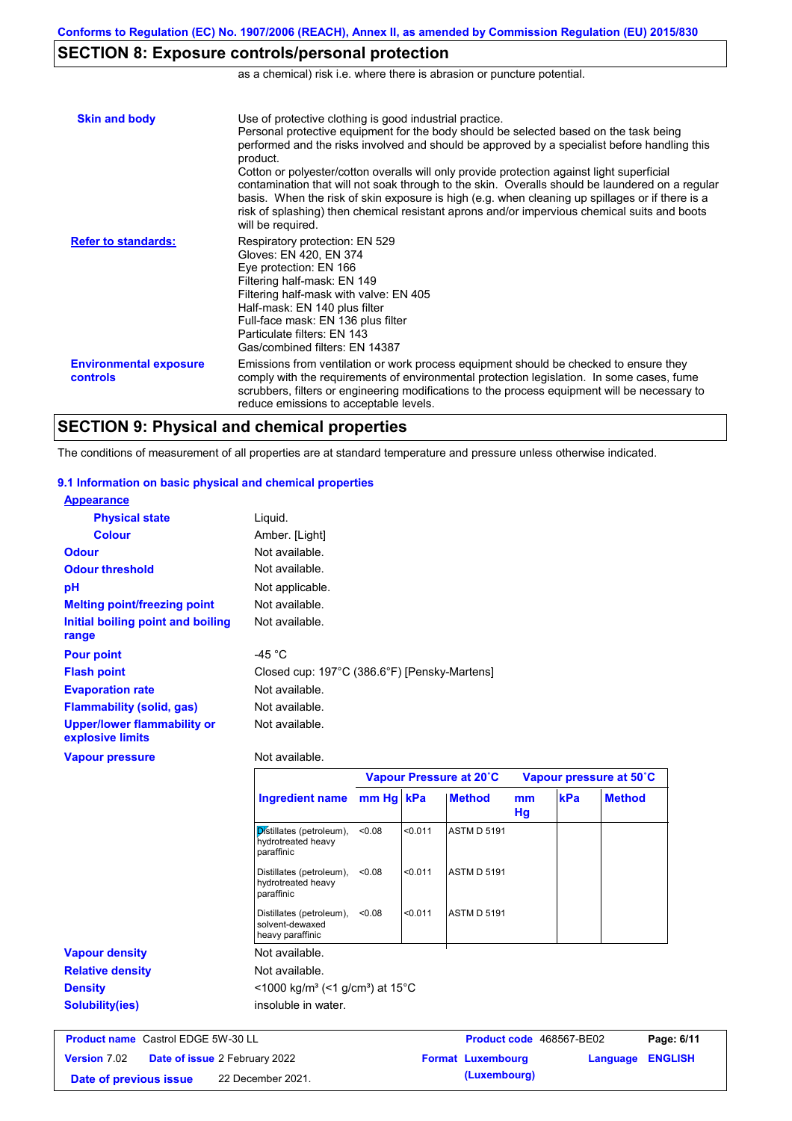# **SECTION 8: Exposure controls/personal protection**

as a chemical) risk i.e. where there is abrasion or puncture potential.

| <b>Skin and body</b>                             | Use of protective clothing is good industrial practice.<br>Personal protective equipment for the body should be selected based on the task being<br>performed and the risks involved and should be approved by a specialist before handling this<br>product.<br>Cotton or polyester/cotton overalls will only provide protection against light superficial<br>contamination that will not soak through to the skin. Overalls should be laundered on a regular<br>basis. When the risk of skin exposure is high (e.g. when cleaning up spillages or if there is a<br>risk of splashing) then chemical resistant aprons and/or impervious chemical suits and boots<br>will be required. |
|--------------------------------------------------|---------------------------------------------------------------------------------------------------------------------------------------------------------------------------------------------------------------------------------------------------------------------------------------------------------------------------------------------------------------------------------------------------------------------------------------------------------------------------------------------------------------------------------------------------------------------------------------------------------------------------------------------------------------------------------------|
| <b>Refer to standards:</b>                       | Respiratory protection: EN 529<br>Gloves: EN 420, EN 374<br>Eye protection: EN 166<br>Filtering half-mask: EN 149<br>Filtering half-mask with valve: EN 405<br>Half-mask: EN 140 plus filter<br>Full-face mask: EN 136 plus filter<br>Particulate filters: EN 143<br>Gas/combined filters: EN 14387                                                                                                                                                                                                                                                                                                                                                                                   |
| <b>Environmental exposure</b><br><b>controls</b> | Emissions from ventilation or work process equipment should be checked to ensure they<br>comply with the requirements of environmental protection legislation. In some cases, fume<br>scrubbers, filters or engineering modifications to the process equipment will be necessary to<br>reduce emissions to acceptable levels.                                                                                                                                                                                                                                                                                                                                                         |

# **SECTION 9: Physical and chemical properties**

The conditions of measurement of all properties are at standard temperature and pressure unless otherwise indicated.

### **9.1 Information on basic physical and chemical properties**

| <b>Appearance</b>                               |                                              |
|-------------------------------------------------|----------------------------------------------|
| <b>Physical state</b>                           | Liguid.                                      |
| <b>Colour</b>                                   | Amber. [Light]                               |
| <b>Odour</b>                                    | Not available.                               |
| <b>Odour threshold</b>                          | Not available.                               |
| pH                                              | Not applicable.                              |
| <b>Melting point/freezing point</b>             | Not available.                               |
| Initial boiling point and boiling               | Not available.                               |
| range                                           |                                              |
| <b>Pour point</b>                               | -45 $^{\circ}$ C                             |
| <b>Flash point</b>                              | Closed cup: 197°C (386.6°F) [Pensky-Martens] |
| <b>Evaporation rate</b>                         | Not available.                               |
| <b>Flammability (solid, gas)</b>                | Not available.                               |
| Upper/lower flammability or<br>explosive limits | Not available.                               |
| <b>Vapour pressure</b>                          | Not available.                               |

|                         |                                                                         | Vapour Pressure at 20°C |         |                    | Vapour pressure at 50°C |            |               |
|-------------------------|-------------------------------------------------------------------------|-------------------------|---------|--------------------|-------------------------|------------|---------------|
|                         | <b>Ingredient name</b>                                                  | mm Hg kPa               |         | <b>Method</b>      | mm<br>Hg                | <b>kPa</b> | <b>Method</b> |
|                         | Distillates (petroleum),<br>hydrotreated heavy<br>paraffinic            | < 0.08                  | < 0.011 | <b>ASTM D 5191</b> |                         |            |               |
|                         | Distillates (petroleum),<br>hydrotreated heavy<br>paraffinic            | < 0.08                  | < 0.011 | <b>ASTM D 5191</b> |                         |            |               |
|                         | Distillates (petroleum),<br>solvent-dewaxed<br>heavy paraffinic         | < 0.08                  | < 0.011 | <b>ASTM D 5191</b> |                         |            |               |
| <b>Vapour density</b>   | Not available.                                                          |                         |         |                    |                         |            |               |
| <b>Relative density</b> | Not available.                                                          |                         |         |                    |                         |            |               |
| <b>Density</b>          | $<$ 1000 kg/m <sup>3</sup> (<1 g/cm <sup>3</sup> ) at 15 <sup>°</sup> C |                         |         |                    |                         |            |               |
| <b>Solubility(ies)</b>  | insoluble in water.                                                     |                         |         |                    |                         |            |               |

|                        | <b>Product name</b> Castrol EDGE 5W-30 LL<br><b>Product code</b> 468567-BE02 | Page: 6/11              |
|------------------------|------------------------------------------------------------------------------|-------------------------|
| <b>Version 7.02</b>    | <b>Date of issue 2 February 2022</b><br><b>Format Luxembourg</b>             | <b>Language ENGLISH</b> |
| Date of previous issue | (Luxembourg)<br>22 December 2021.                                            |                         |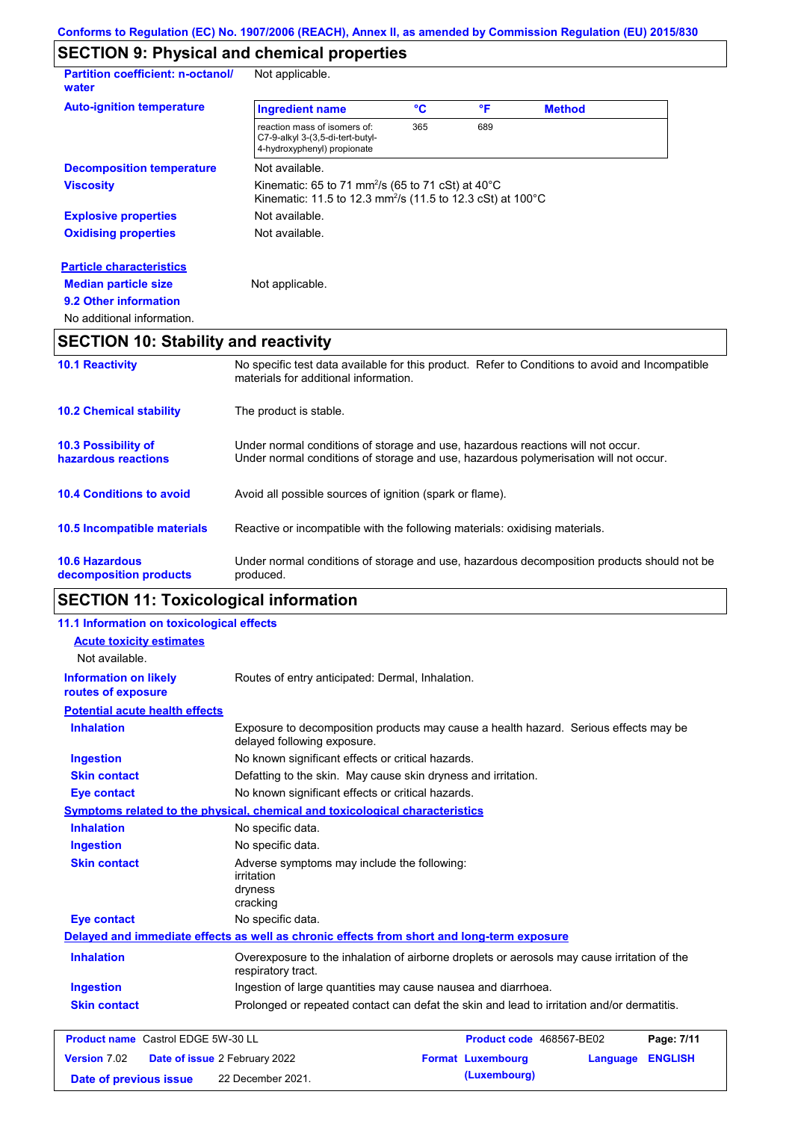# **SECTION 9: Physical and chemical properties**

| <b>Partition coefficient: n-octanol/</b><br>water | Not applicable.                                                                                                                                                |     |     |               |  |
|---------------------------------------------------|----------------------------------------------------------------------------------------------------------------------------------------------------------------|-----|-----|---------------|--|
| <b>Auto-ignition temperature</b>                  | <b>Ingredient name</b>                                                                                                                                         | °C  | °F  | <b>Method</b> |  |
|                                                   | reaction mass of isomers of:<br>C7-9-alkyl 3-(3,5-di-tert-butyl-<br>4-hydroxyphenyl) propionate                                                                | 365 | 689 |               |  |
| <b>Decomposition temperature</b>                  | Not available.                                                                                                                                                 |     |     |               |  |
| <b>Viscosity</b>                                  | Kinematic: 65 to 71 mm <sup>2</sup> /s (65 to 71 cSt) at $40^{\circ}$ C<br>Kinematic: 11.5 to 12.3 mm <sup>2</sup> /s (11.5 to 12.3 cSt) at 100 <sup>°</sup> C |     |     |               |  |
| <b>Explosive properties</b>                       | Not available.                                                                                                                                                 |     |     |               |  |
| <b>Oxidising properties</b>                       | Not available.                                                                                                                                                 |     |     |               |  |
| <b>Particle characteristics</b>                   |                                                                                                                                                                |     |     |               |  |
| <b>Median particle size</b>                       | Not applicable.                                                                                                                                                |     |     |               |  |
| 9.2 Other information                             |                                                                                                                                                                |     |     |               |  |
| No additional information.                        |                                                                                                                                                                |     |     |               |  |

# **SECTION 10: Stability and reactivity**

| <b>SECTION 11: Toxicological information</b>      |                                                                                                                                                                         |  |  |  |
|---------------------------------------------------|-------------------------------------------------------------------------------------------------------------------------------------------------------------------------|--|--|--|
| <b>10.6 Hazardous</b><br>decomposition products   | Under normal conditions of storage and use, hazardous decomposition products should not be<br>produced.                                                                 |  |  |  |
| 10.5 Incompatible materials                       | Reactive or incompatible with the following materials: oxidising materials.                                                                                             |  |  |  |
| <b>10.4 Conditions to avoid</b>                   | Avoid all possible sources of ignition (spark or flame).                                                                                                                |  |  |  |
| <b>10.3 Possibility of</b><br>hazardous reactions | Under normal conditions of storage and use, hazardous reactions will not occur.<br>Under normal conditions of storage and use, hazardous polymerisation will not occur. |  |  |  |
| <b>10.2 Chemical stability</b>                    | The product is stable.                                                                                                                                                  |  |  |  |
| <b>10.1 Reactivity</b>                            | No specific test data available for this product. Refer to Conditions to avoid and Incompatible<br>materials for additional information.                                |  |  |  |

# **SECTION 11: Toxicological information**

| 11.1 Information on toxicological effects          |                                                                                                                     |
|----------------------------------------------------|---------------------------------------------------------------------------------------------------------------------|
| <b>Acute toxicity estimates</b>                    |                                                                                                                     |
| Not available.                                     |                                                                                                                     |
| <b>Information on likely</b><br>routes of exposure | Routes of entry anticipated: Dermal, Inhalation.                                                                    |
| <b>Potential acute health effects</b>              |                                                                                                                     |
| <b>Inhalation</b>                                  | Exposure to decomposition products may cause a health hazard. Serious effects may be<br>delayed following exposure. |
| <b>Ingestion</b>                                   | No known significant effects or critical hazards.                                                                   |
| <b>Skin contact</b>                                | Defatting to the skin. May cause skin dryness and irritation.                                                       |
| <b>Eye contact</b>                                 | No known significant effects or critical hazards.                                                                   |
|                                                    | Symptoms related to the physical, chemical and toxicological characteristics                                        |
| <b>Inhalation</b>                                  | No specific data.                                                                                                   |
| <b>Ingestion</b>                                   | No specific data.                                                                                                   |
| <b>Skin contact</b>                                | Adverse symptoms may include the following:<br>irritation<br>dryness<br>cracking                                    |
| <b>Eye contact</b>                                 | No specific data.                                                                                                   |
|                                                    | Delayed and immediate effects as well as chronic effects from short and long-term exposure                          |
| <b>Inhalation</b>                                  | Overexposure to the inhalation of airborne droplets or aerosols may cause irritation of the<br>respiratory tract.   |
| <b>Ingestion</b>                                   | Ingestion of large quantities may cause nausea and diarrhoea.                                                       |
| <b>Skin contact</b>                                | Prolonged or repeated contact can defat the skin and lead to irritation and/or dermatitis.                          |
| <b>Product name</b> Castrol EDGE 5W-30 LL          | Product code 468567-BE02<br>Page: 7/11                                                                              |
| Version 7.02                                       | <b>Format Luxembourg</b><br><b>ENGLISH</b><br>Date of issue 2 February 2022<br>Language                             |
| Date of previous issue                             | (Luxembourg)<br>22 December 2021.                                                                                   |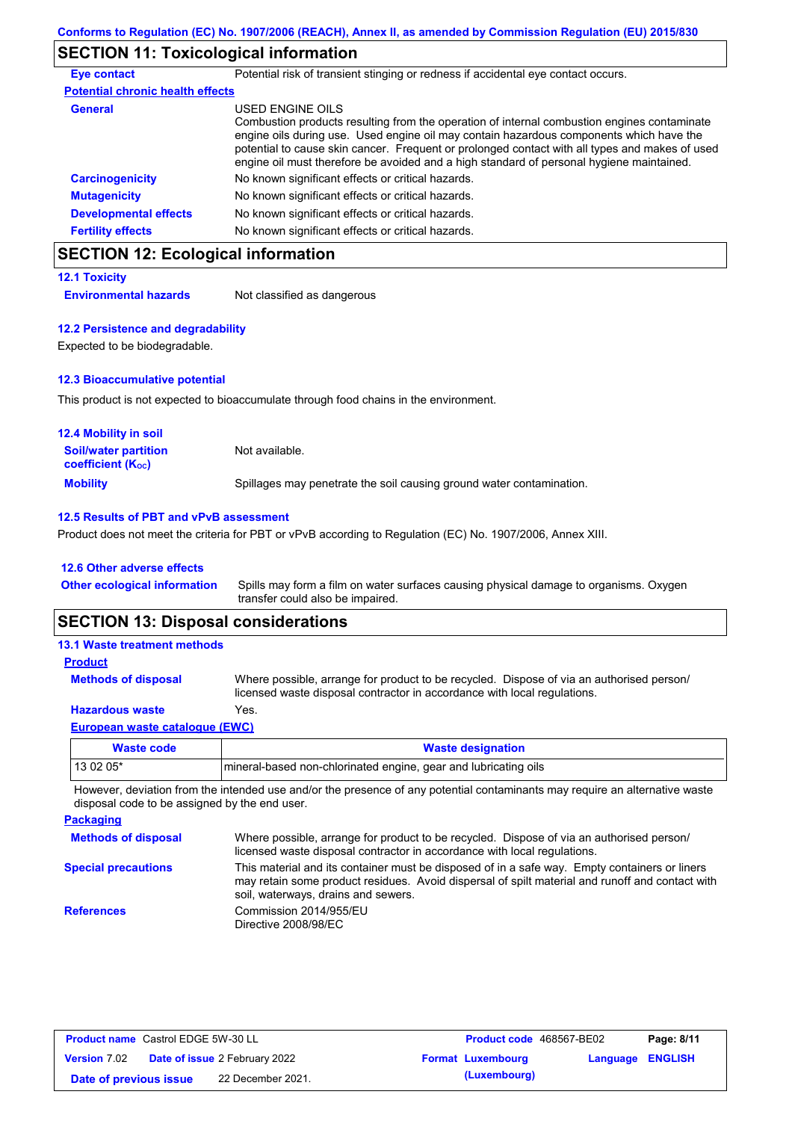# **SECTION 11: Toxicological information**

| <b>Eye contact</b>                      | Potential risk of transient stinging or redness if accidental eye contact occurs.                                                                                                                                                                                                                                                                                                                        |
|-----------------------------------------|----------------------------------------------------------------------------------------------------------------------------------------------------------------------------------------------------------------------------------------------------------------------------------------------------------------------------------------------------------------------------------------------------------|
| <b>Potential chronic health effects</b> |                                                                                                                                                                                                                                                                                                                                                                                                          |
| <b>General</b>                          | USED ENGINE OILS<br>Combustion products resulting from the operation of internal combustion engines contaminate<br>engine oils during use. Used engine oil may contain hazardous components which have the<br>potential to cause skin cancer. Frequent or prolonged contact with all types and makes of used<br>engine oil must therefore be avoided and a high standard of personal hygiene maintained. |
| <b>Carcinogenicity</b>                  | No known significant effects or critical hazards.                                                                                                                                                                                                                                                                                                                                                        |
| <b>Mutagenicity</b>                     | No known significant effects or critical hazards.                                                                                                                                                                                                                                                                                                                                                        |
| <b>Developmental effects</b>            | No known significant effects or critical hazards.                                                                                                                                                                                                                                                                                                                                                        |
| <b>Fertility effects</b>                | No known significant effects or critical hazards.                                                                                                                                                                                                                                                                                                                                                        |

# **SECTION 12: Ecological information**

**12.1 Toxicity Environmental hazards** Not classified as dangerous

# **12.2 Persistence and degradability**

Expected to be biodegradable.

### **12.3 Bioaccumulative potential**

This product is not expected to bioaccumulate through food chains in the environment.

| <b>12.4 Mobility in soil</b>                                  |                                                                      |
|---------------------------------------------------------------|----------------------------------------------------------------------|
| <b>Soil/water partition</b><br>coefficient (K <sub>oc</sub> ) | Not available.                                                       |
| <b>Mobility</b>                                               | Spillages may penetrate the soil causing ground water contamination. |

### **12.5 Results of PBT and vPvB assessment**

Product does not meet the criteria for PBT or vPvB according to Regulation (EC) No. 1907/2006, Annex XIII.

#### **12.6 Other adverse effects**

Spills may form a film on water surfaces causing physical damage to organisms. Oxygen transfer could also be impaired. **Other ecological information**

## **SECTION 13: Disposal considerations**

| <b>13.1 Waste treatment methods</b> |                                                                                                                                                                      |
|-------------------------------------|----------------------------------------------------------------------------------------------------------------------------------------------------------------------|
| <b>Product</b>                      |                                                                                                                                                                      |
| <b>Methods of disposal</b>          | Where possible, arrange for product to be recycled. Dispose of via an authorised person/<br>licensed waste disposal contractor in accordance with local regulations. |
| <b>Hazardous waste</b>              | Yes.                                                                                                                                                                 |
| European waste catalogue (EWC)      |                                                                                                                                                                      |

| <b>Waste code</b> | <b>Waste designation</b>                                        |
|-------------------|-----------------------------------------------------------------|
| $130205*$         | mineral-based non-chlorinated engine, gear and lubricating oils |

However, deviation from the intended use and/or the presence of any potential contaminants may require an alternative waste disposal code to be assigned by the end user.

| <b>Packaging</b>           |                                                                                                                                                                                                                                         |
|----------------------------|-----------------------------------------------------------------------------------------------------------------------------------------------------------------------------------------------------------------------------------------|
| <b>Methods of disposal</b> | Where possible, arrange for product to be recycled. Dispose of via an authorised person/<br>licensed waste disposal contractor in accordance with local regulations.                                                                    |
| <b>Special precautions</b> | This material and its container must be disposed of in a safe way. Empty containers or liners<br>may retain some product residues. Avoid dispersal of spilt material and runoff and contact with<br>soil, waterways, drains and sewers. |
| <b>References</b>          | Commission 2014/955/EU<br>Directive 2008/98/EC                                                                                                                                                                                          |

| <b>Product name</b> Castrol EDGE 5W-30 LL |  | <b>Product code</b> 468567-BE02      |  | Page: 8/11               |                         |  |
|-------------------------------------------|--|--------------------------------------|--|--------------------------|-------------------------|--|
| <b>Version 7.02</b>                       |  | <b>Date of issue 2 February 2022</b> |  | <b>Format Luxembourg</b> | <b>Language ENGLISH</b> |  |
| Date of previous issue                    |  | 22 December 2021.                    |  | (Luxembourg)             |                         |  |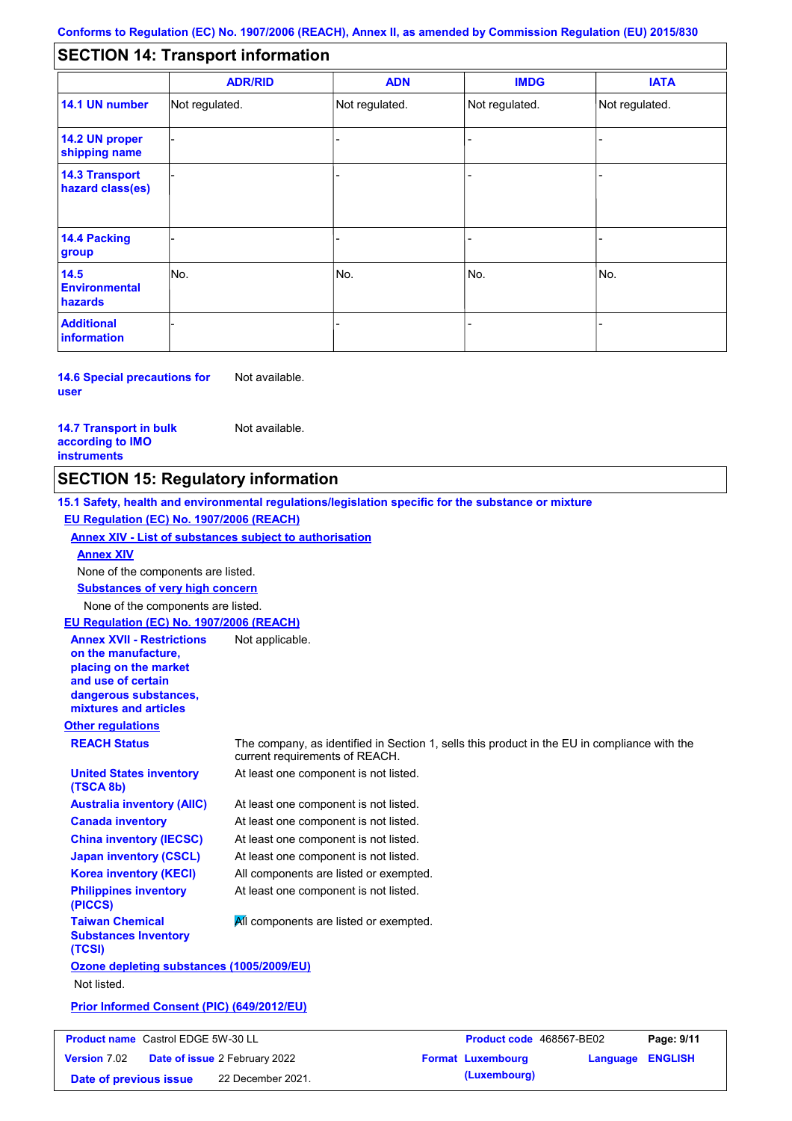#### - - - - - - - - - Not regulated. Not regulated. Not regulated. - - - **SECTION 14: Transport information ADR/RID IMDG IATA 14.1 UN number 14.2 UN proper shipping name 14.3 Transport hazard class(es) 14.4 Packing group ADN Additional information 14.5 Environmental hazards** No. 1980 | No. 1980 | No. 1980 | No. 1980 | No. 1980 | No. 1980 | No. 1980 | No. 1980 | No. 1980 | No. 1980 | Not regulated. - -<br>No. - -

**14.6 Special precautions for user** Not available.

#### **14.7 Transport in bulk according to IMO instruments**

Not available.

**Version** 7.02

### **SECTION 15: Regulatory information**

**Other regulations REACH Status** The company, as identified in Section 1, sells this product in the EU in compliance with the current requirements of REACH. **15.1 Safety, health and environmental regulations/legislation specific for the substance or mixture EU Regulation (EC) No. 1907/2006 (REACH) Annex XIV - List of substances subject to authorisation Substances of very high concern** None of the components are listed. At least one component is not listed. At least one component is not listed. At least one component is not listed. At least one component is not listed. At least one component is not listed. All components are listed or exempted. At least one component is not listed. **United States inventory (TSCA 8b) Australia inventory (AIIC) Canada inventory China inventory (IECSC) Japan inventory (CSCL) Korea inventory (KECI) Philippines inventory (PICCS) Taiwan Chemical Substances Inventory (TCSI) All components are listed or exempted. Ozone depleting substances (1005/2009/EU)** Not listed. **Prior Informed Consent (PIC) (649/2012/EU)** None of the components are listed. **Annex XIV EU Regulation (EC) No. 1907/2006 (REACH) Annex XVII - Restrictions on the manufacture, placing on the market and use of certain dangerous substances, mixtures and articles** Not applicable. **Product name** Castrol EDGE 5W-30 LL **Product code** 468567-BE02 **Page: 9/11** 

**Date of issue** 2 February 2022 **Format Luxembourg Language ENGLISH Date of previous issue (Luxembourg)** 22 December 2021.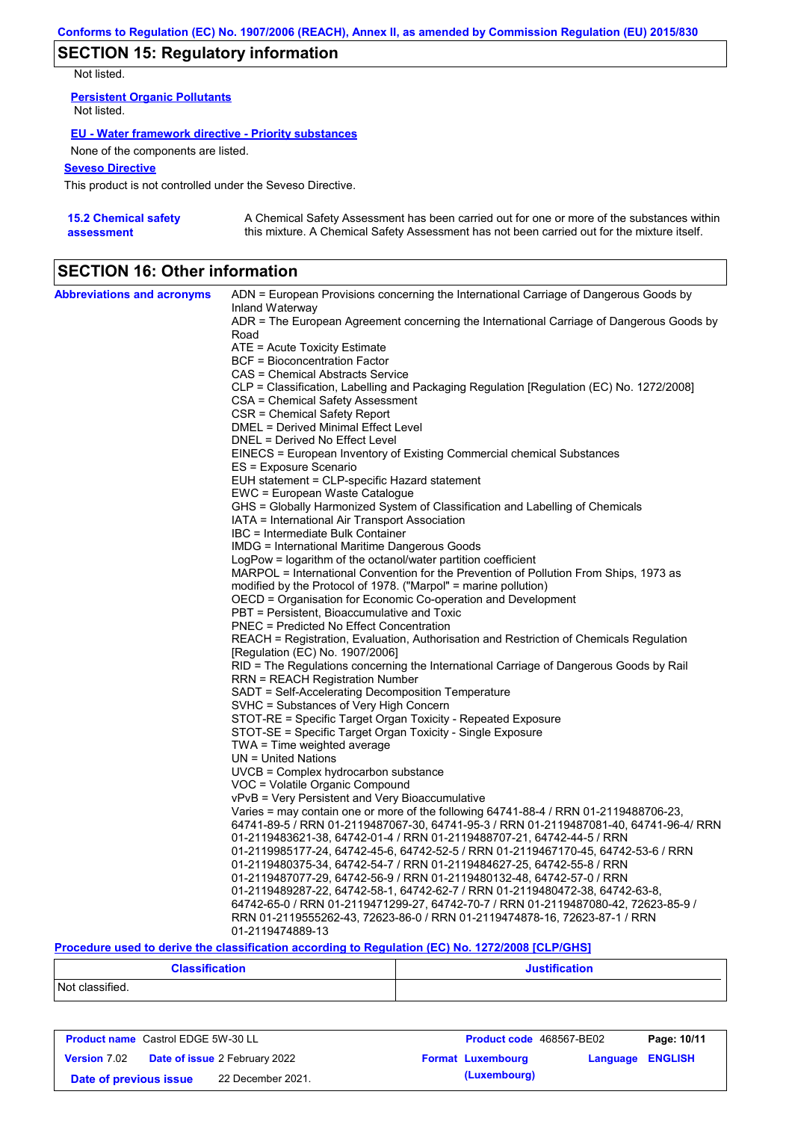# **SECTION 15: Regulatory information**

Not listed.

**Persistent Organic Pollutants** Not listed.

### **EU - Water framework directive - Priority substances**

None of the components are listed.

### **Seveso Directive**

This product is not controlled under the Seveso Directive.

| <b>15.2 Chemical safety</b> | A Chemical Safety Assessment has been carried out for one or more of the substances within  |
|-----------------------------|---------------------------------------------------------------------------------------------|
| assessment                  | this mixture. A Chemical Safety Assessment has not been carried out for the mixture itself. |

# **SECTION 16: Other information**

| <b>Abbreviations and acronyms</b> | ADN = European Provisions concerning the International Carriage of Dangerous Goods by<br>Inland Waterway |
|-----------------------------------|----------------------------------------------------------------------------------------------------------|
|                                   | ADR = The European Agreement concerning the International Carriage of Dangerous Goods by                 |
|                                   | Road                                                                                                     |
|                                   | $ATE =$ Acute Toxicity Estimate<br>BCF = Bioconcentration Factor                                         |
|                                   | CAS = Chemical Abstracts Service                                                                         |
|                                   | CLP = Classification, Labelling and Packaging Regulation [Regulation (EC) No. 1272/2008]                 |
|                                   | CSA = Chemical Safety Assessment                                                                         |
|                                   | CSR = Chemical Safety Report                                                                             |
|                                   | DMEL = Derived Minimal Effect Level                                                                      |
|                                   | DNEL = Derived No Effect Level                                                                           |
|                                   | EINECS = European Inventory of Existing Commercial chemical Substances                                   |
|                                   | ES = Exposure Scenario                                                                                   |
|                                   | EUH statement = CLP-specific Hazard statement                                                            |
|                                   | EWC = European Waste Catalogue                                                                           |
|                                   | GHS = Globally Harmonized System of Classification and Labelling of Chemicals                            |
|                                   | IATA = International Air Transport Association                                                           |
|                                   | IBC = Intermediate Bulk Container                                                                        |
|                                   | <b>IMDG</b> = International Maritime Dangerous Goods                                                     |
|                                   | LogPow = logarithm of the octanol/water partition coefficient                                            |
|                                   | MARPOL = International Convention for the Prevention of Pollution From Ships, 1973 as                    |
|                                   | modified by the Protocol of 1978. ("Marpol" = marine pollution)                                          |
|                                   | OECD = Organisation for Economic Co-operation and Development                                            |
|                                   | PBT = Persistent, Bioaccumulative and Toxic                                                              |
|                                   | <b>PNEC</b> = Predicted No Effect Concentration                                                          |
|                                   | REACH = Registration, Evaluation, Authorisation and Restriction of Chemicals Regulation                  |
|                                   | [Regulation (EC) No. 1907/2006]                                                                          |
|                                   | RID = The Regulations concerning the International Carriage of Dangerous Goods by Rail                   |
|                                   | RRN = REACH Registration Number<br>SADT = Self-Accelerating Decomposition Temperature                    |
|                                   | SVHC = Substances of Very High Concern                                                                   |
|                                   | STOT-RE = Specific Target Organ Toxicity - Repeated Exposure                                             |
|                                   | STOT-SE = Specific Target Organ Toxicity - Single Exposure                                               |
|                                   | $TWA = Time weighted average$                                                                            |
|                                   | UN = United Nations                                                                                      |
|                                   | $UVCB = Complex\;hydrocarbon\; substance$                                                                |
|                                   | VOC = Volatile Organic Compound                                                                          |
|                                   | vPvB = Very Persistent and Very Bioaccumulative                                                          |
|                                   | Varies = may contain one or more of the following $64741-88-4$ / RRN 01-2119488706-23,                   |
|                                   | 64741-89-5 / RRN 01-2119487067-30, 64741-95-3 / RRN 01-2119487081-40, 64741-96-4/ RRN                    |
|                                   | 01-2119483621-38, 64742-01-4 / RRN 01-2119488707-21, 64742-44-5 / RRN                                    |
|                                   | 01-2119985177-24, 64742-45-6, 64742-52-5 / RRN 01-2119467170-45, 64742-53-6 / RRN                        |
|                                   | 01-2119480375-34, 64742-54-7 / RRN 01-2119484627-25, 64742-55-8 / RRN                                    |
|                                   | 01-2119487077-29, 64742-56-9 / RRN 01-2119480132-48, 64742-57-0 / RRN                                    |
|                                   | 01-2119489287-22, 64742-58-1, 64742-62-7 / RRN 01-2119480472-38, 64742-63-8,                             |
|                                   | 64742-65-0 / RRN 01-2119471299-27, 64742-70-7 / RRN 01-2119487080-42, 72623-85-9 /                       |
|                                   | RRN 01-2119555262-43, 72623-86-0 / RRN 01-2119474878-16, 72623-87-1 / RRN<br>01-2119474889-13            |
|                                   |                                                                                                          |

### **Procedure used to derive the classification according to Regulation (EC) No. 1272/2008 [CLP/GHS]**

| <b>Classification</b><br>. | <b>Justification</b> |
|----------------------------|----------------------|
| Not classified.            |                      |

| <b>Product name</b> Castrol EDGE 5W-30 LL |  | <b>Product code</b> 468567-BE02                   |  | Page: 10/11              |                         |  |
|-------------------------------------------|--|---------------------------------------------------|--|--------------------------|-------------------------|--|
|                                           |  | <b>Version 7.02 Date of issue 2 February 2022</b> |  | <b>Format Luxembourg</b> | <b>Language ENGLISH</b> |  |
| Date of previous issue                    |  | 22 December 2021.                                 |  | (Luxembourg)             |                         |  |